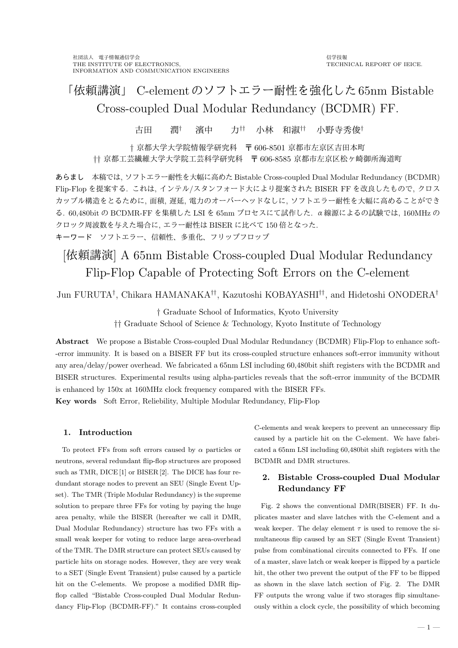# 「依頼講演」 C-elementのソフトエラー耐性を強化した65nm Bistable Cross-coupled Dual Modular Redundancy (BCDMR) FF.

古田 潤*†* 濱中 力*††* 小林 和淑*††* 小野寺秀俊*†*

*†* 京都大学大学院情報学研究科 〒 606-8501 京都市左京区吉田本町 *††* 京都工芸繊維大学大学院工芸科学研究科 〒 606-8585 京都市左京区松ヶ崎御所海道町

あらまし 本稿では, ソフトエラー耐性を大幅に高めた Bistable Cross-coupled Dual Modular Redundancy (BCDMR) Flip-Flop を提案する. これは, インテル/スタンフォード大により提案された BISER FF を改良したもので, クロス カップル構造をとるために, 面積, 遅延, 電力のオーバーヘッドなしに, ソフトエラー耐性を大幅に高めることができ る. 60,480bit の BCDMR-FF を集積した LSI を 65nm プロセスにて試作した. α線源によるの試験では, 160MHz の クロック周波数を与えた場合に, エラー耐性は BISER に比べて 150 倍となった. キーワード ソフトエラー、信頼性、多重化、フリップフロップ

# [依頼講演] A 65nm Bistable Cross-coupled Dual Modular Redundancy Flip-Flop Capable of Protecting Soft Errors on the C-element

Jun FURUTA*†* , Chikara HAMANAKA*††*, Kazutoshi KOBAYASHI*††*, and Hidetoshi ONODERA*†*

*†* Graduate School of Informatics, Kyoto University

*††* Graduate School of Science & Technology, Kyoto Institute of Technology

**Abstract** We propose a Bistable Cross-coupled Dual Modular Redundancy (BCDMR) Flip-Flop to enhance soft- -error immunity. It is based on a BISER FF but its cross-coupled structure enhances soft-error immunity without any area/delay/power overhead. We fabricated a 65nm LSI including 60,480bit shift registers with the BCDMR and BISER structures. Experimental results using alpha-particles reveals that the soft-error immunity of the BCDMR is enhanced by 150x at 160MHz clock frequency compared with the BISER FFs. **Key words** Soft Error, Reliebility, Multiple Modular Redundancy, Flip-Flop

## **1. Introduction**

To protect FFs from soft errors caused by *α* particles or neutrons, several redundant flip-flop structures are proposed such as TMR, DICE [1] or BISER [2]. The DICE has four redundant storage nodes to prevent an SEU (Single Event Upset). The TMR (Triple Modular Redundancy) is the supreme solution to prepare three FFs for voting by paying the huge area penalty, while the BISER (hereafter we call it DMR, Dual Modular Redundancy) structure has two FFs with a small weak keeper for voting to reduce large area-overhead of the TMR. The DMR structure can protect SEUs caused by particle hits on storage nodes. However, they are very weak to a SET (Single Event Transient) pulse caused by a particle hit on the C-elements. We propose a modified DMR flipflop called "Bistable Cross-coupled Dual Modular Redundancy Flip-Flop (BCDMR-FF)." It contains cross-coupled

C-elements and weak keepers to prevent an unnecessary flip caused by a particle hit on the C-element. We have fabricated a 65nm LSI including 60,480bit shift registers with the BCDMR and DMR structures.

# **2. Bistable Cross-coupled Dual Modular Redundancy FF**

Fig. 2 shows the conventional DMR(BISER) FF. It duplicates master and slave latches with the C-element and a weak keeper. The delay element  $\tau$  is used to remove the simultaneous flip caused by an SET (Single Event Transient) pulse from combinational circuits connected to FFs. If one of a master, slave latch or weak keeper is flipped by a particle hit, the other two prevent the output of the FF to be flipped as shown in the slave latch section of Fig. 2. The DMR FF outputs the wrong value if two storages flip simultaneously within a clock cycle, the possibility of which becoming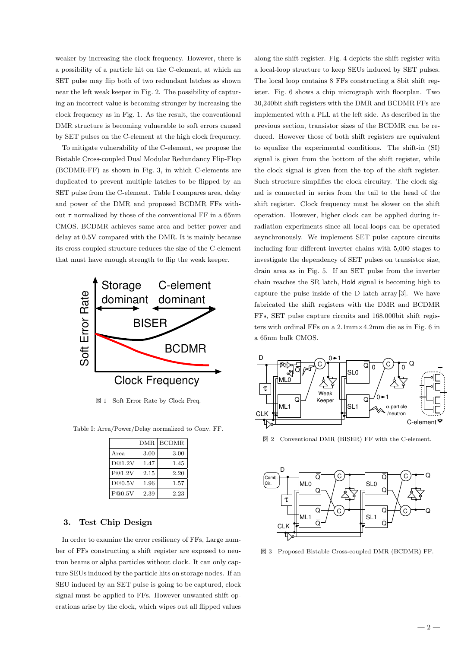weaker by increasing the clock frequency. However, there is a possibility of a particle hit on the C-element, at which an SET pulse may flip both of two redundant latches as shown near the left weak keeper in Fig. 2. The possibility of capturing an incorrect value is becoming stronger by increasing the clock frequency as in Fig. 1. As the result, the conventional DMR structure is becoming vulnerable to soft errors caused by SET pulses on the C-element at the high clock frequency.

To mitigate vulnerability of the C-element, we propose the Bistable Cross-coupled Dual Modular Redundancy Flip-Flop (BCDMR-FF) as shown in Fig. 3, in which C-elements are duplicated to prevent multiple latches to be flipped by an SET pulse from the C-element. Table I compares area, delay and power of the DMR and proposed BCDMR FFs without  $\tau$  normalized by those of the conventional FF in a 65nm CMOS. BCDMR achieves same area and better power and delay at 0.5V compared with the DMR. It is mainly because its cross-coupled structure reduces the size of the C-element that must have enough strength to flip the weak keeper.



図 1 Soft Error Rate by Clock Freq.

Table I: Area/Power/Delay normalized to Conv. FF.

|        | DMR. | <b>BCDMR</b> |
|--------|------|--------------|
| Area   | 3.00 | 3.00         |
| D@1.2V | 1.47 | 1.45         |
| P@1.2V | 2.15 | 2.20         |
| D@0.5V | 1.96 | 1.57         |
| P@0.5V | 2.39 | 2.23         |

#### **3. Test Chip Design**

In order to examine the error resiliency of FFs, Large number of FFs constructing a shift register are exposed to neutron beams or alpha particles without clock. It can only capture SEUs induced by the particle hits on storage nodes. If an SEU induced by an SET pulse is going to be captured, clock signal must be applied to FFs. However unwanted shift operations arise by the clock, which wipes out all flipped values

along the shift register. Fig. 4 depicts the shift register with a local-loop structure to keep SEUs induced by SET pulses. The local loop contains 8 FFs constructing a 8bit shift register. Fig. 6 shows a chip micrograph with floorplan. Two 30,240bit shift registers with the DMR and BCDMR FFs are implemented with a PLL at the left side. As described in the previous section, transistor sizes of the BCDMR can be reduced. However those of both shift registers are equivalent to equalize the experimental conditions. The shift-in (SI) signal is given from the bottom of the shift register, while the clock signal is given from the top of the shift register. Such structure simplifies the clock circuitry. The clock signal is connected in series from the tail to the head of the shift register. Clock frequency must be slower on the shift operation. However, higher clock can be applied during irradiation experiments since all local-loops can be operated asynchronously. We implement SET pulse capture circuits including four different inverter chains with 5,000 stages to investigate the dependency of SET pulses on transistor size, drain area as in Fig. 5. If an SET pulse from the inverter chain reaches the SR latch, Hold signal is becoming high to capture the pulse inside of the D latch array [3]. We have fabricated the shift registers with the DMR and BCDMR FFs, SET pulse capture circuits and 168,000bit shift registers with ordinal FFs on a 2.1mm*×*4.2mm die as in Fig. 6 in a 65nm bulk CMOS.



図 2 Conventional DMR (BISER) FF with the C-element.



図 3 Proposed Bistable Cross-coupled DMR (BCDMR) FF.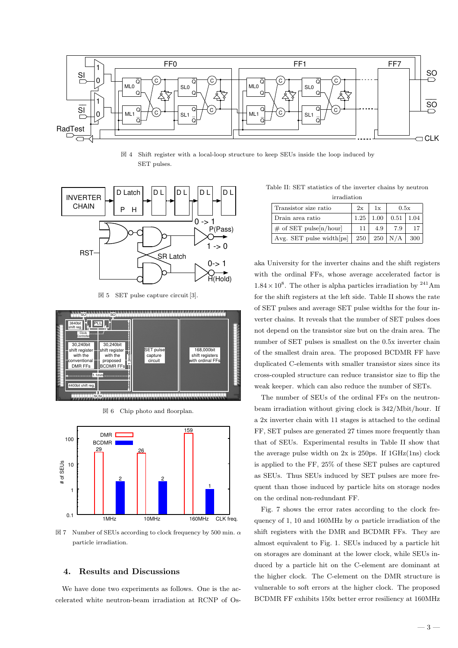

 $\boxtimes$  4 Shift register with a local-loop structure to keep SEUs inside the loop induced by SET pulses.



図 5 SET pulse capture circuit [3].



図 6 Chip photo and floorplan.



図 7 Number of SEUs according to clock frequency by 500 min. *α* particle irradiation.

#### **4. Results and Discussions**

We have done two experiments as follows. One is the accelerated white neutron-beam irradiation at RCNP of Os-

Table II: SET statistics of the inverter chains by neutron

| irradiation                 |      |      |                  |     |  |  |
|-----------------------------|------|------|------------------|-----|--|--|
| Transistor size ratio       | 2x   | 1x   | 0.5x             |     |  |  |
| Drain area ratio            | 1.25 | 1.00 | $0.51 \mid 1.04$ |     |  |  |
| $\#$ of SET pulse[n/hour]   | 11   | 4.9  | 7.9              | 17  |  |  |
| Avg. SET pulse width $ ps $ | 250  |      | $250 \mid N/A$   | 300 |  |  |

aka University for the inverter chains and the shift registers with the ordinal FFs, whose average accelerated factor is  $1.84 \times 10^8$ . The other is alpha particles irradiation by <sup>241</sup>Am for the shift registers at the left side. Table II shows the rate of SET pulses and average SET pulse widths for the four inverter chains. It reveals that the number of SET pulses does not depend on the transistor size but on the drain area. The number of SET pulses is smallest on the 0.5x inverter chain of the smallest drain area. The proposed BCDMR FF have duplicated C-elements with smaller transistor sizes since its cross-coupled structure can reduce transistor size to flip the weak keeper. which can also reduce the number of SETs.

The number of SEUs of the ordinal FFs on the neutronbeam irradiation without giving clock is 342/Mbit/hour. If a 2x inverter chain with 11 stages is attached to the ordinal FF, SET pulses are generated 27 times more frequently than that of SEUs. Experimental results in Table II show that the average pulse width on  $2x$  is  $250$ ps. If  $1 \text{GHz}(1 \text{ns})$  clock is applied to the FF, 25% of these SET pulses are captured as SEUs. Thus SEUs induced by SET pulses are more frequent than those induced by particle hits on storage nodes on the ordinal non-redundant FF.

Fig. 7 shows the error rates according to the clock frequency of 1, 10 and 160MHz by  $\alpha$  particle irradiation of the shift registers with the DMR and BCDMR FFs. They are almost equivalent to Fig. 1. SEUs induced by a particle hit on storages are dominant at the lower clock, while SEUs induced by a particle hit on the C-element are dominant at the higher clock. The C-element on the DMR structure is vulnerable to soft errors at the higher clock. The proposed BCDMR FF exhibits 150x better error resiliency at 160MHz